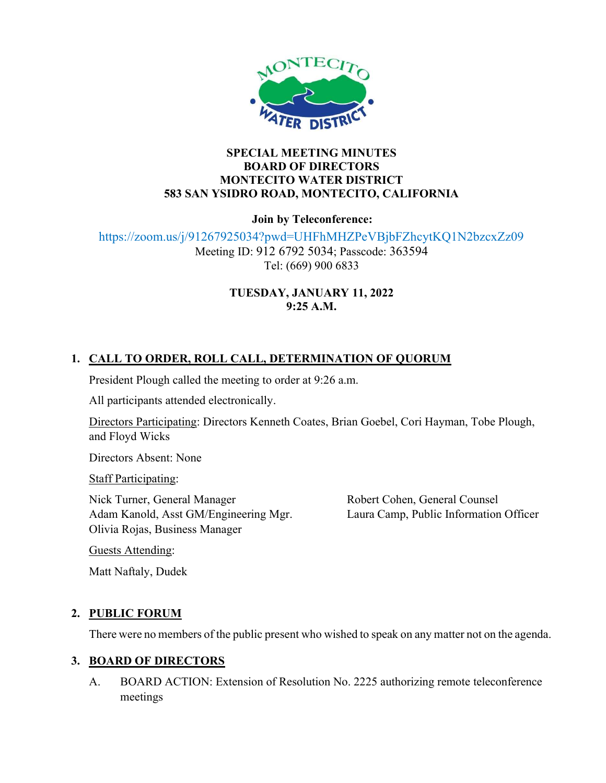

#### SPECIAL MEETING MINUTES BOARD OF DIRECTORS MONTECITO WATER DISTRICT 583 SAN YSIDRO ROAD, MONTECITO, CALIFORNIA

Join by Teleconference:

https://zoom.us/j/91267925034?pwd=UHFhMHZPeVBjbFZhcytKQ1N2bzcxZz09 Meeting ID: 912 6792 5034; Passcode: 363594 Tel: (669) 900 6833

#### TUESDAY, JANUARY 11, 2022 9:25 A.M.

# 1. CALL TO ORDER, ROLL CALL, DETERMINATION OF QUORUM

President Plough called the meeting to order at 9:26 a.m.

All participants attended electronically.

Directors Participating: Directors Kenneth Coates, Brian Goebel, Cori Hayman, Tobe Plough, and Floyd Wicks

Directors Absent: None

**Staff Participating:** 

Nick Turner, General Manager Adam Kanold, Asst GM/Engineering Mgr. Olivia Rojas, Business Manager

Robert Cohen, General Counsel Laura Camp, Public Information Officer

Guests Attending:

Matt Naftaly, Dudek

## 2. PUBLIC FORUM

There were no members of the public present who wished to speak on any matter not on the agenda.

## 3. BOARD OF DIRECTORS

A. BOARD ACTION: Extension of Resolution No. 2225 authorizing remote teleconference meetings